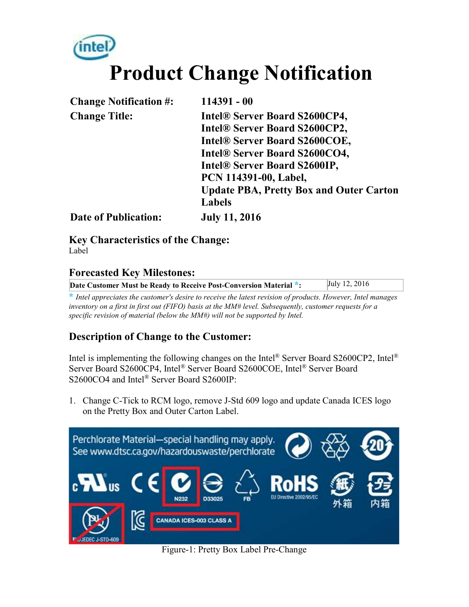# **Product Change Notification**

| <b>Change Notification #:</b> | $114391 - 00$                                  |
|-------------------------------|------------------------------------------------|
| <b>Change Title:</b>          | <b>Intel® Server Board S2600CP4,</b>           |
|                               | Intel® Server Board S2600CP2,                  |
|                               | Intel® Server Board S2600COE,                  |
|                               | Intel® Server Board S2600CO4,                  |
|                               | Intel® Server Board S2600IP,                   |
|                               | PCN 114391-00, Label,                          |
|                               | <b>Update PBA, Pretty Box and Outer Carton</b> |
|                               | <b>Labels</b>                                  |
| <b>Date of Publication:</b>   | <b>July 11, 2016</b>                           |

**Key Characteristics of the Change:**  Label

#### **Forecasted Key Milestones:**

| Date Customer Must be Ready to Receive Post-Conversion Material *: | July 12, 2016 |
|--------------------------------------------------------------------|---------------|

**\*** *Intel appreciates the customer's desire to receive the latest revision of products. However, Intel manages inventory on a first in first out (FIFO) basis at the MM# level. Subsequently, customer requests for a specific revision of material (below the MM#) will not be supported by Intel.*

#### **Description of Change to the Customer:**

Intel is implementing the following changes on the Intel<sup>®</sup> Server Board S2600CP2, Intel<sup>®</sup> Server Board S2600CP4, Intel® Server Board S2600COE, Intel® Server Board S2600CO4 and Intel<sup>®</sup> Server Board S2600IP:

1. Change C-Tick to RCM logo, remove J-Std 609 logo and update Canada ICES logo on the Pretty Box and Outer Carton Label.



Figure-1: Pretty Box Label Pre-Change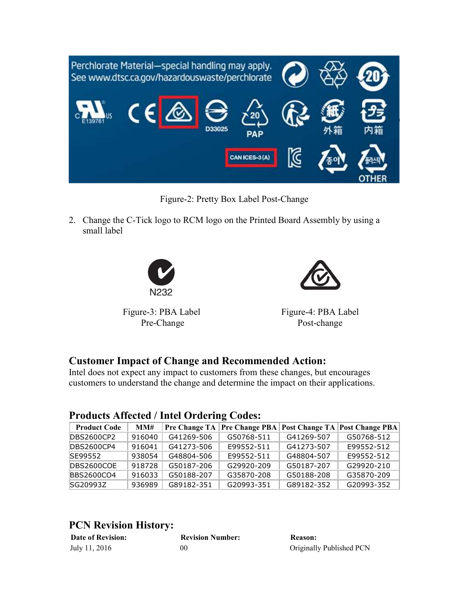

Figure-2: Pretty Box Label Post-Change

2. Change the C-Tick logo to RCM logo on the Printed Board Assembly by using a small label





Figure-3: PBA Label Pre-Change

Figure-4: PBA Label Post-change

#### **Customer Impact of Change and Recommended Action:**

Intel does not expect any impact to customers from these changes, but encourages customers to understand the change and determine the impact on their applications.

#### **Products Affected / Intel Ordering Codes:**

| <b>Product Code</b> | MM#    | Pre Change TA |            |            | Pre Change PBA   Post Change TA   Post Change PBA |
|---------------------|--------|---------------|------------|------------|---------------------------------------------------|
| <b>DBS2600CP2</b>   | 916040 | G41269-506    | G50768-511 | G41269-507 | G50768-512                                        |
| <b>DBS2600CP4</b>   | 916041 | G41273-506    | E99552-511 | G41273-507 | E99552-512                                        |
| SE99552             | 938054 | G48804-506    | F99552-511 | G48804-507 | F99552-512                                        |
| DBS2600COE          | 918728 | G50187-206    | G29920-209 | G50187-207 | G29920-210                                        |
| BBS2600CO4          | 916033 | G50188-207    | G35870-208 | G50188-208 | G35870-209                                        |
| SG20993Z            | 936989 | G89182-351    | G20993-351 | G89182-352 | G20993-352                                        |

#### **PCN Revision History:**

| <b>Date of Revision:</b> | <b>Revision Number:</b> | <b>Reason:</b>           |
|--------------------------|-------------------------|--------------------------|
| July 11, 2016            | 00                      | Originally Published PCN |